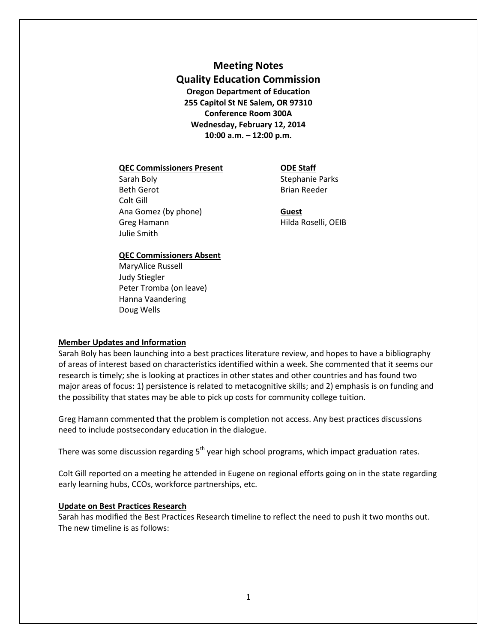# **Meeting Notes Quality Education Commission Oregon Department of Education 255 Capitol St NE Salem, OR 97310 Conference Room 300A Wednesday, February 12, 2014 10:00 a.m. – 12:00 p.m.**

#### **QEC Commissioners Present ODE Staff**

Sarah Boly **Sarah Boly** Stephanie Parks Beth Gerot **Brian Reeder** Colt Gill Ana Gomez (by phone) **Guest** Greg Hamann **Hilda Roselli**, OEIB Julie Smith

### **QEC Commissioners Absent**

MaryAlice Russell Judy Stiegler Peter Tromba (on leave) Hanna Vaandering Doug Wells

### **Member Updates and Information**

Sarah Boly has been launching into a best practices literature review, and hopes to have a bibliography of areas of interest based on characteristics identified within a week. She commented that it seems our research is timely; she is looking at practices in other states and other countries and has found two major areas of focus: 1) persistence is related to metacognitive skills; and 2) emphasis is on funding and the possibility that states may be able to pick up costs for community college tuition.

Greg Hamann commented that the problem is completion not access. Any best practices discussions need to include postsecondary education in the dialogue.

There was some discussion regarding  $5<sup>th</sup>$  year high school programs, which impact graduation rates.

Colt Gill reported on a meeting he attended in Eugene on regional efforts going on in the state regarding early learning hubs, CCOs, workforce partnerships, etc.

### **Update on Best Practices Research**

Sarah has modified the Best Practices Research timeline to reflect the need to push it two months out. The new timeline is as follows: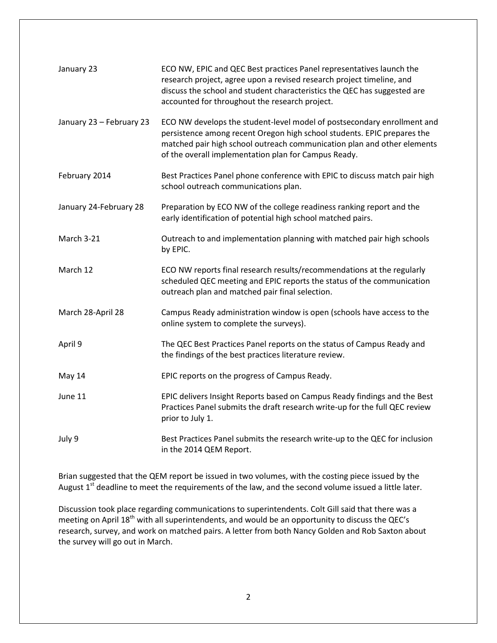| January 23               | ECO NW, EPIC and QEC Best practices Panel representatives launch the<br>research project, agree upon a revised research project timeline, and<br>discuss the school and student characteristics the QEC has suggested are<br>accounted for throughout the research project.           |
|--------------------------|---------------------------------------------------------------------------------------------------------------------------------------------------------------------------------------------------------------------------------------------------------------------------------------|
| January 23 - February 23 | ECO NW develops the student-level model of postsecondary enrollment and<br>persistence among recent Oregon high school students. EPIC prepares the<br>matched pair high school outreach communication plan and other elements<br>of the overall implementation plan for Campus Ready. |
| February 2014            | Best Practices Panel phone conference with EPIC to discuss match pair high<br>school outreach communications plan.                                                                                                                                                                    |
| January 24-February 28   | Preparation by ECO NW of the college readiness ranking report and the<br>early identification of potential high school matched pairs.                                                                                                                                                 |
| March 3-21               | Outreach to and implementation planning with matched pair high schools<br>by EPIC.                                                                                                                                                                                                    |
| March 12                 | ECO NW reports final research results/recommendations at the regularly<br>scheduled QEC meeting and EPIC reports the status of the communication<br>outreach plan and matched pair final selection.                                                                                   |
| March 28-April 28        | Campus Ready administration window is open (schools have access to the<br>online system to complete the surveys).                                                                                                                                                                     |
| April 9                  | The QEC Best Practices Panel reports on the status of Campus Ready and<br>the findings of the best practices literature review.                                                                                                                                                       |
| May 14                   | EPIC reports on the progress of Campus Ready.                                                                                                                                                                                                                                         |
| June 11                  | EPIC delivers Insight Reports based on Campus Ready findings and the Best<br>Practices Panel submits the draft research write-up for the full QEC review<br>prior to July 1.                                                                                                          |
| July 9                   | Best Practices Panel submits the research write-up to the QEC for inclusion<br>in the 2014 QEM Report.                                                                                                                                                                                |

Brian suggested that the QEM report be issued in two volumes, with the costing piece issued by the August 1<sup>st</sup> deadline to meet the requirements of the law, and the second volume issued a little later.

Discussion took place regarding communications to superintendents. Colt Gill said that there was a meeting on April 18<sup>th</sup> with all superintendents, and would be an opportunity to discuss the QEC's research, survey, and work on matched pairs. A letter from both Nancy Golden and Rob Saxton about the survey will go out in March.